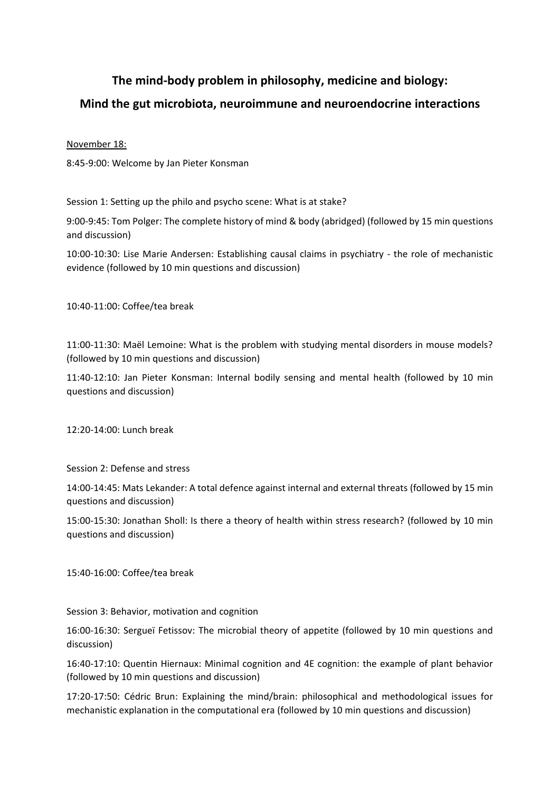## **The mind-body problem in philosophy, medicine and biology:**

## **Mind the gut microbiota, neuroimmune and neuroendocrine interactions**

## November 18:

8:45-9:00: Welcome by Jan Pieter Konsman

Session 1: Setting up the philo and psycho scene: What is at stake?

9:00-9:45: Tom Polger: The complete history of mind & body (abridged) (followed by 15 min questions and discussion)

10:00-10:30: Lise Marie Andersen: Establishing causal claims in psychiatry - the role of mechanistic evidence (followed by 10 min questions and discussion)

10:40-11:00: Coffee/tea break

11:00-11:30: Maël Lemoine: What is the problem with studying mental disorders in mouse models? (followed by 10 min questions and discussion)

11:40-12:10: Jan Pieter Konsman: Internal bodily sensing and mental health (followed by 10 min questions and discussion)

12:20-14:00: Lunch break

Session 2: Defense and stress

14:00-14:45: Mats Lekander: A total defence against internal and external threats (followed by 15 min questions and discussion)

15:00-15:30: Jonathan Sholl: Is there a theory of health within stress research? (followed by 10 min questions and discussion)

15:40-16:00: Coffee/tea break

Session 3: Behavior, motivation and cognition

16:00-16:30: Sergueï Fetissov: The microbial theory of appetite (followed by 10 min questions and discussion)

16:40-17:10: Quentin Hiernaux: Minimal cognition and 4E cognition: the example of plant behavior (followed by 10 min questions and discussion)

17:20-17:50: Cédric Brun: Explaining the mind/brain: philosophical and methodological issues for mechanistic explanation in the computational era (followed by 10 min questions and discussion)